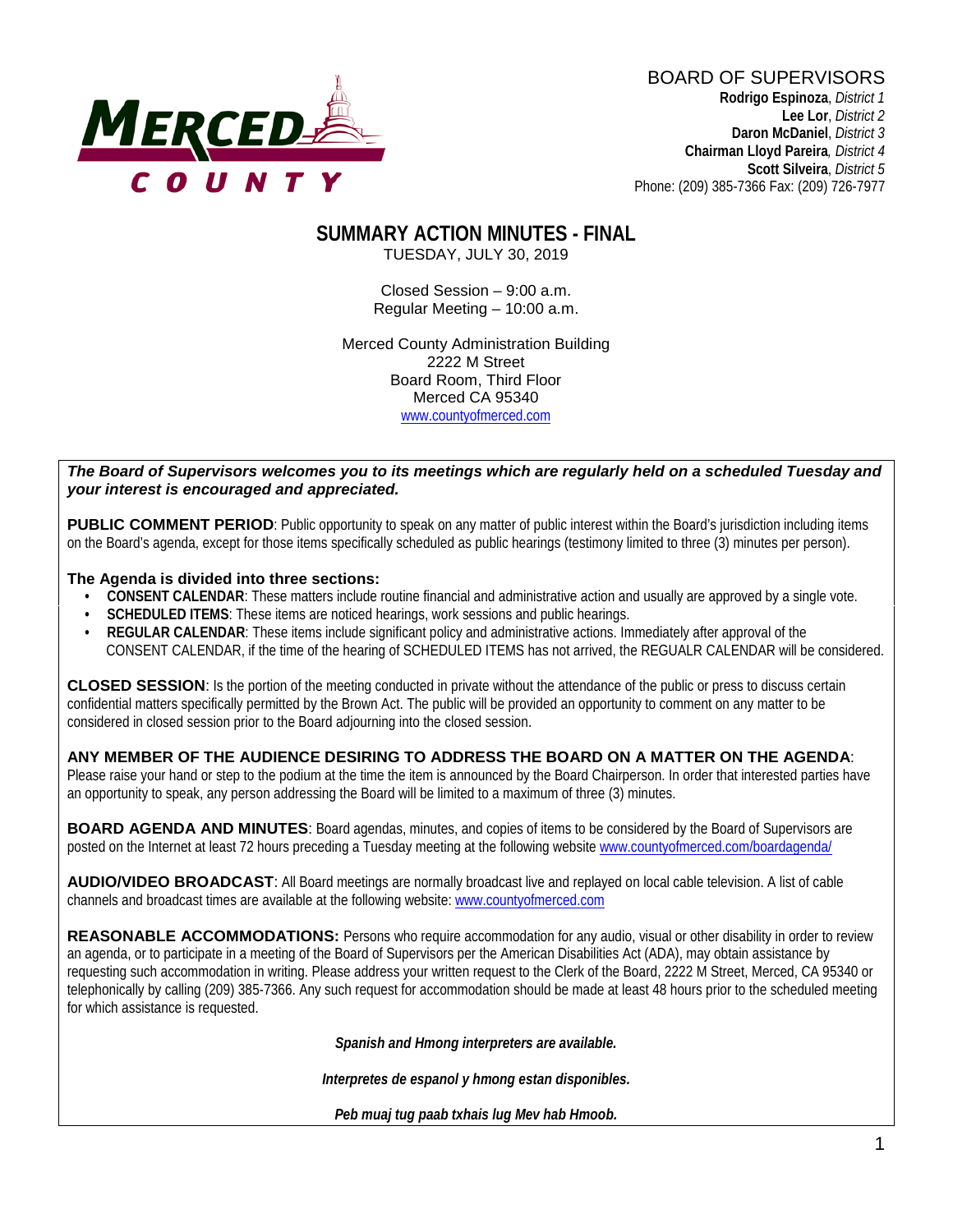

BOARD OF SUPERVISORS **Rodrigo Espinoza**, *District 1*  **Lee Lor**, *District 2*  **Daron McDaniel**, *District 3* **Chairman Lloyd Pareira***, District 4*  **Scott Silveira**, *District 5* Phone: (209) 385-7366 Fax: (209) 726-7977

# **SUMMARY ACTION MINUTES - FINAL**

TUESDAY, JULY 30, 2019

Closed Session – 9:00 a.m. Regular Meeting – 10:00 a.m.

Merced County Administration Building 2222 M Street Board Room, Third Floor Merced CA 95340 www.countyofmerced.com

#### *The Board of Supervisors welcomes you to its meetings which are regularly held on a scheduled Tuesday and your interest is encouraged and appreciated.*

**PUBLIC COMMENT PERIOD:** Public opportunity to speak on any matter of public interest within the Board's jurisdiction including items on the Board's agenda, except for those items specifically scheduled as public hearings (testimony limited to three (3) minutes per person).

#### **The Agenda is divided into three sections:**

- **CONSENT CALENDAR**: These matters include routine financial and administrative action and usually are approved by a single vote.
- **SCHEDULED ITEMS:** These items are noticed hearings, work sessions and public hearings.
- **REGULAR CALENDAR**: These items include significant policy and administrative actions. Immediately after approval of the CONSENT CALENDAR, if the time of the hearing of SCHEDULED ITEMS has not arrived, the REGUALR CALENDAR will be considered.

**CLOSED SESSION**: Is the portion of the meeting conducted in private without the attendance of the public or press to discuss certain confidential matters specifically permitted by the Brown Act. The public will be provided an opportunity to comment on any matter to be considered in closed session prior to the Board adjourning into the closed session.

#### **ANY MEMBER OF THE AUDIENCE DESIRING TO ADDRESS THE BOARD ON A MATTER ON THE AGENDA**:

Please raise your hand or step to the podium at the time the item is announced by the Board Chairperson. In order that interested parties have an opportunity to speak, any person addressing the Board will be limited to a maximum of three (3) minutes.

**BOARD AGENDA AND MINUTES:** Board agendas, minutes, and copies of items to be considered by the Board of Supervisors are posted on the Internet at least 72 hours preceding a Tuesday meeting at the following website [www.countyofmerced.com/boardagenda/](http://www.countyofmerced.com/boardagenda/) 

**AUDIO/VIDEO BROADCAST**: All Board meetings are normally broadcast live and replayed on local cable television. A list of cable channels and broadcast times are available at the following website[: www.countyofmerced.com](http://www.countyofmerced.com/)

**REASONABLE ACCOMMODATIONS:** Persons who require accommodation for any audio, visual or other disability in order to review an agenda, or to participate in a meeting of the Board of Supervisors per the American Disabilities Act (ADA), may obtain assistance by requesting such accommodation in writing. Please address your written request to the Clerk of the Board, 2222 M Street, Merced, CA 95340 or telephonically by calling (209) 385-7366. Any such request for accommodation should be made at least 48 hours prior to the scheduled meeting for which assistance is requested.

*Spanish and Hmong interpreters are available.*

*Interpretes de espanol y hmong estan disponibles.*

*Peb muaj tug paab txhais lug Mev hab Hmoob.*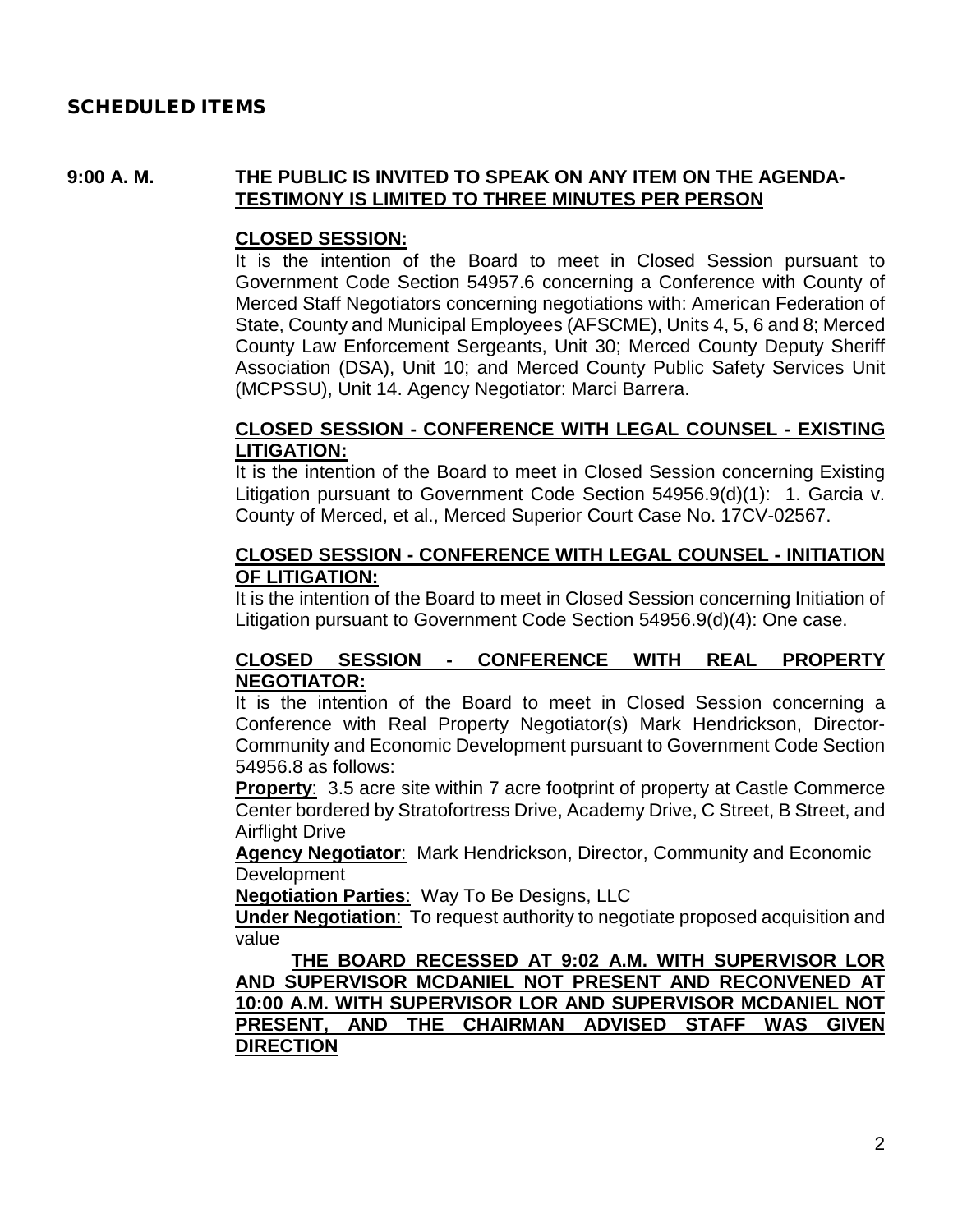#### SCHEDULED ITEMS

#### **9:00 A. M. THE PUBLIC IS INVITED TO SPEAK ON ANY ITEM ON THE AGENDA-TESTIMONY IS LIMITED TO THREE MINUTES PER PERSON**

#### **CLOSED SESSION:**

It is the intention of the Board to meet in Closed Session pursuant to Government Code Section 54957.6 concerning a Conference with County of Merced Staff Negotiators concerning negotiations with: American Federation of State, County and Municipal Employees (AFSCME), Units 4, 5, 6 and 8; Merced County Law Enforcement Sergeants, Unit 30; Merced County Deputy Sheriff Association (DSA), Unit 10; and Merced County Public Safety Services Unit (MCPSSU), Unit 14. Agency Negotiator: Marci Barrera.

#### **CLOSED SESSION - CONFERENCE WITH LEGAL COUNSEL - EXISTING LITIGATION:**

It is the intention of the Board to meet in Closed Session concerning Existing Litigation pursuant to Government Code Section 54956.9(d)(1): 1. Garcia v. County of Merced, et al., Merced Superior Court Case No. 17CV-02567.

#### **CLOSED SESSION - CONFERENCE WITH LEGAL COUNSEL - INITIATION OF LITIGATION:**

It is the intention of the Board to meet in Closed Session concerning Initiation of Litigation pursuant to Government Code Section 54956.9(d)(4): One case.

#### **CLOSED SESSION - CONFERENCE WITH REAL PROPERTY NEGOTIATOR:**

It is the intention of the Board to meet in Closed Session concerning a Conference with Real Property Negotiator(s) Mark Hendrickson, Director-Community and Economic Development pursuant to Government Code Section 54956.8 as follows:

**Property**: 3.5 acre site within 7 acre footprint of property at Castle Commerce Center bordered by Stratofortress Drive, Academy Drive, C Street, B Street, and Airflight Drive

**Agency Negotiator**: Mark Hendrickson, Director, Community and Economic Development

**Negotiation Parties**: Way To Be Designs, LLC

**Under Negotiation**: To request authority to negotiate proposed acquisition and value

**THE BOARD RECESSED AT 9:02 A.M. WITH SUPERVISOR LOR AND SUPERVISOR MCDANIEL NOT PRESENT AND RECONVENED AT 10:00 A.M. WITH SUPERVISOR LOR AND SUPERVISOR MCDANIEL NOT PRESENT, AND THE CHAIRMAN ADVISED STAFF WAS GIVEN DIRECTION**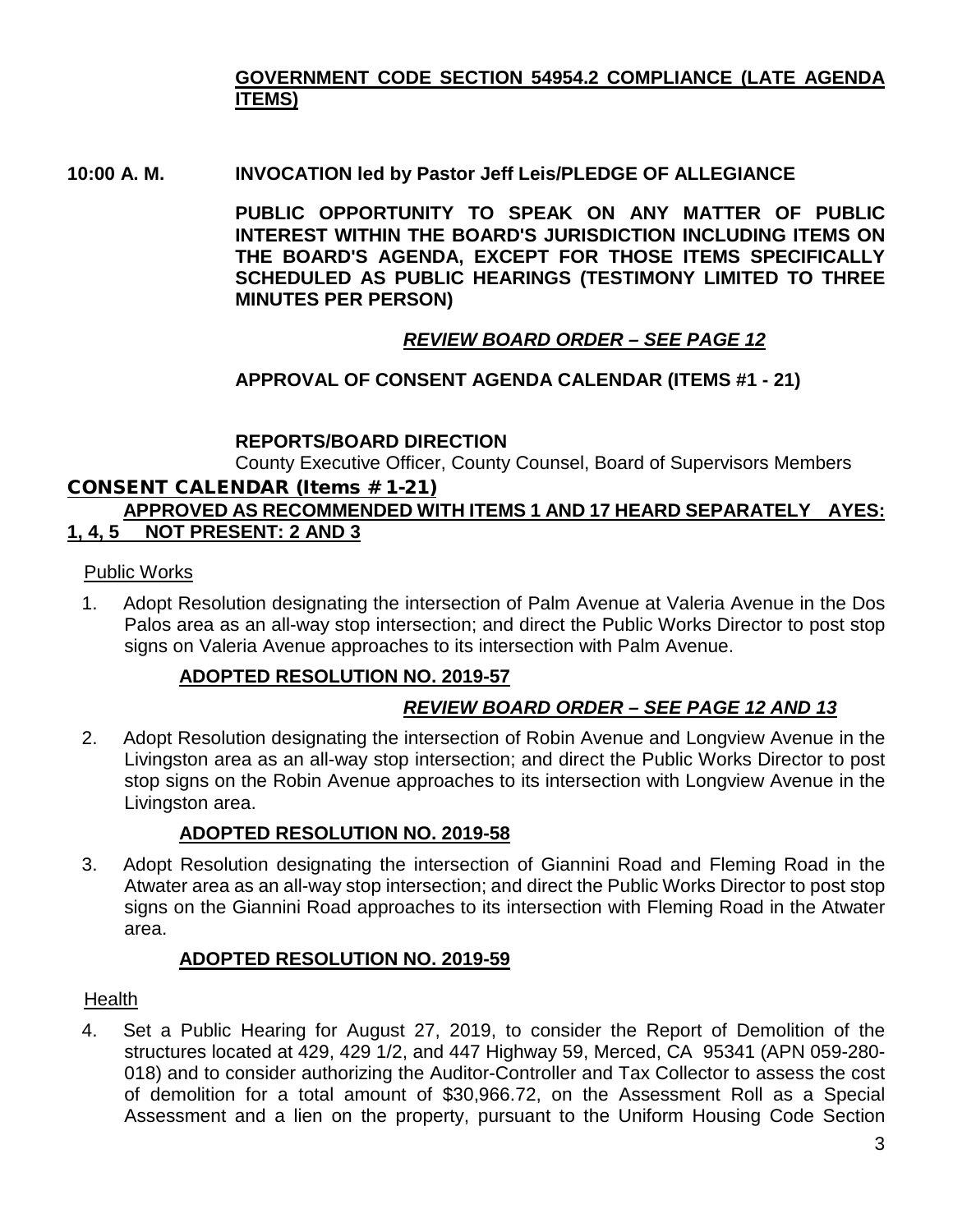# **GOVERNMENT CODE SECTION 54954.2 COMPLIANCE (LATE AGENDA ITEMS)**

## **10:00 A. M. INVOCATION led by Pastor Jeff Leis/PLEDGE OF ALLEGIANCE**

**PUBLIC OPPORTUNITY TO SPEAK ON ANY MATTER OF PUBLIC INTEREST WITHIN THE BOARD'S JURISDICTION INCLUDING ITEMS ON THE BOARD'S AGENDA, EXCEPT FOR THOSE ITEMS SPECIFICALLY SCHEDULED AS PUBLIC HEARINGS (TESTIMONY LIMITED TO THREE MINUTES PER PERSON)**

# *REVIEW BOARD ORDER – SEE PAGE 12*

# **APPROVAL OF CONSENT AGENDA CALENDAR (ITEMS #1 - 21)**

# **REPORTS/BOARD DIRECTION**

County Executive Officer, County Counsel, Board of Supervisors Members

### CONSENT CALENDAR (Items # 1-21)

# **APPROVED AS RECOMMENDED WITH ITEMS 1 AND 17 HEARD SEPARATELY AYES: 1, 4, 5 NOT PRESENT: 2 AND 3**

### Public Works

1. Adopt Resolution designating the intersection of Palm Avenue at Valeria Avenue in the Dos Palos area as an all-way stop intersection; and direct the Public Works Director to post stop signs on Valeria Avenue approaches to its intersection with Palm Avenue.

# **ADOPTED RESOLUTION NO. 2019-57**

# *REVIEW BOARD ORDER – SEE PAGE 12 AND 13*

2. Adopt Resolution designating the intersection of Robin Avenue and Longview Avenue in the Livingston area as an all-way stop intersection; and direct the Public Works Director to post stop signs on the Robin Avenue approaches to its intersection with Longview Avenue in the Livingston area.

# **ADOPTED RESOLUTION NO. 2019-58**

3. Adopt Resolution designating the intersection of Giannini Road and Fleming Road in the Atwater area as an all-way stop intersection; and direct the Public Works Director to post stop signs on the Giannini Road approaches to its intersection with Fleming Road in the Atwater area.

# **ADOPTED RESOLUTION NO. 2019-59**

### **Health**

4. Set a Public Hearing for August 27, 2019, to consider the Report of Demolition of the structures located at 429, 429 1/2, and 447 Highway 59, Merced, CA 95341 (APN 059-280- 018) and to consider authorizing the Auditor-Controller and Tax Collector to assess the cost of demolition for a total amount of \$30,966.72, on the Assessment Roll as a Special Assessment and a lien on the property, pursuant to the Uniform Housing Code Section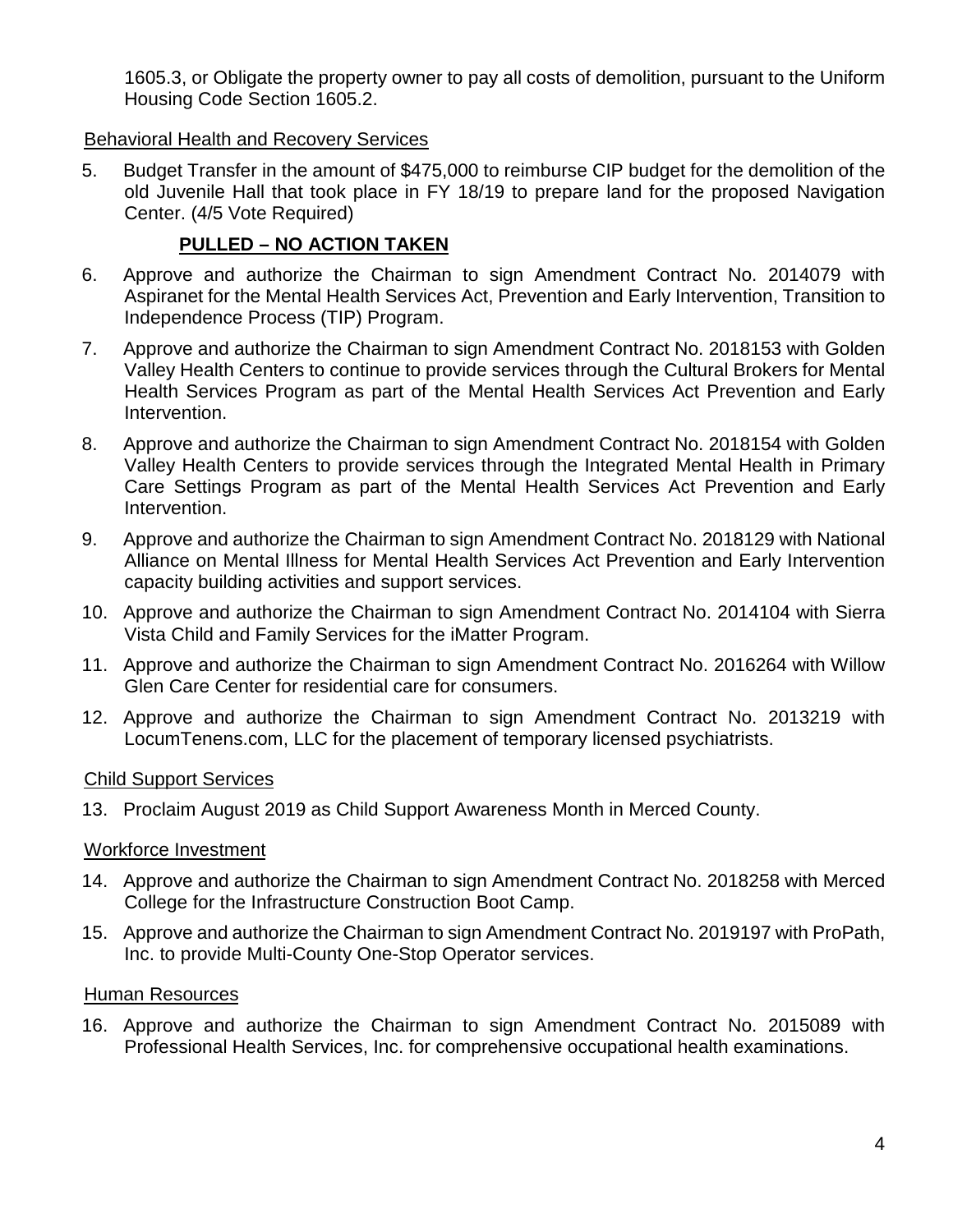1605.3, or Obligate the property owner to pay all costs of demolition, pursuant to the Uniform Housing Code Section 1605.2.

#### Behavioral Health and Recovery Services

5. Budget Transfer in the amount of \$475,000 to reimburse CIP budget for the demolition of the old Juvenile Hall that took place in FY 18/19 to prepare land for the proposed Navigation Center. (4/5 Vote Required)

# **PULLED – NO ACTION TAKEN**

- 6. Approve and authorize the Chairman to sign Amendment Contract No. 2014079 with Aspiranet for the Mental Health Services Act, Prevention and Early Intervention, Transition to Independence Process (TIP) Program.
- 7. Approve and authorize the Chairman to sign Amendment Contract No. 2018153 with Golden Valley Health Centers to continue to provide services through the Cultural Brokers for Mental Health Services Program as part of the Mental Health Services Act Prevention and Early Intervention.
- 8. Approve and authorize the Chairman to sign Amendment Contract No. 2018154 with Golden Valley Health Centers to provide services through the Integrated Mental Health in Primary Care Settings Program as part of the Mental Health Services Act Prevention and Early Intervention.
- 9. Approve and authorize the Chairman to sign Amendment Contract No. 2018129 with National Alliance on Mental Illness for Mental Health Services Act Prevention and Early Intervention capacity building activities and support services.
- 10. Approve and authorize the Chairman to sign Amendment Contract No. 2014104 with Sierra Vista Child and Family Services for the iMatter Program.
- 11. Approve and authorize the Chairman to sign Amendment Contract No. 2016264 with Willow Glen Care Center for residential care for consumers.
- 12. Approve and authorize the Chairman to sign Amendment Contract No. 2013219 with LocumTenens.com, LLC for the placement of temporary licensed psychiatrists.

#### Child Support Services

13. Proclaim August 2019 as Child Support Awareness Month in Merced County.

#### Workforce Investment

- 14. Approve and authorize the Chairman to sign Amendment Contract No. 2018258 with Merced College for the Infrastructure Construction Boot Camp.
- 15. Approve and authorize the Chairman to sign Amendment Contract No. 2019197 with ProPath, Inc. to provide Multi-County One-Stop Operator services.

### Human Resources

16. Approve and authorize the Chairman to sign Amendment Contract No. 2015089 with Professional Health Services, Inc. for comprehensive occupational health examinations.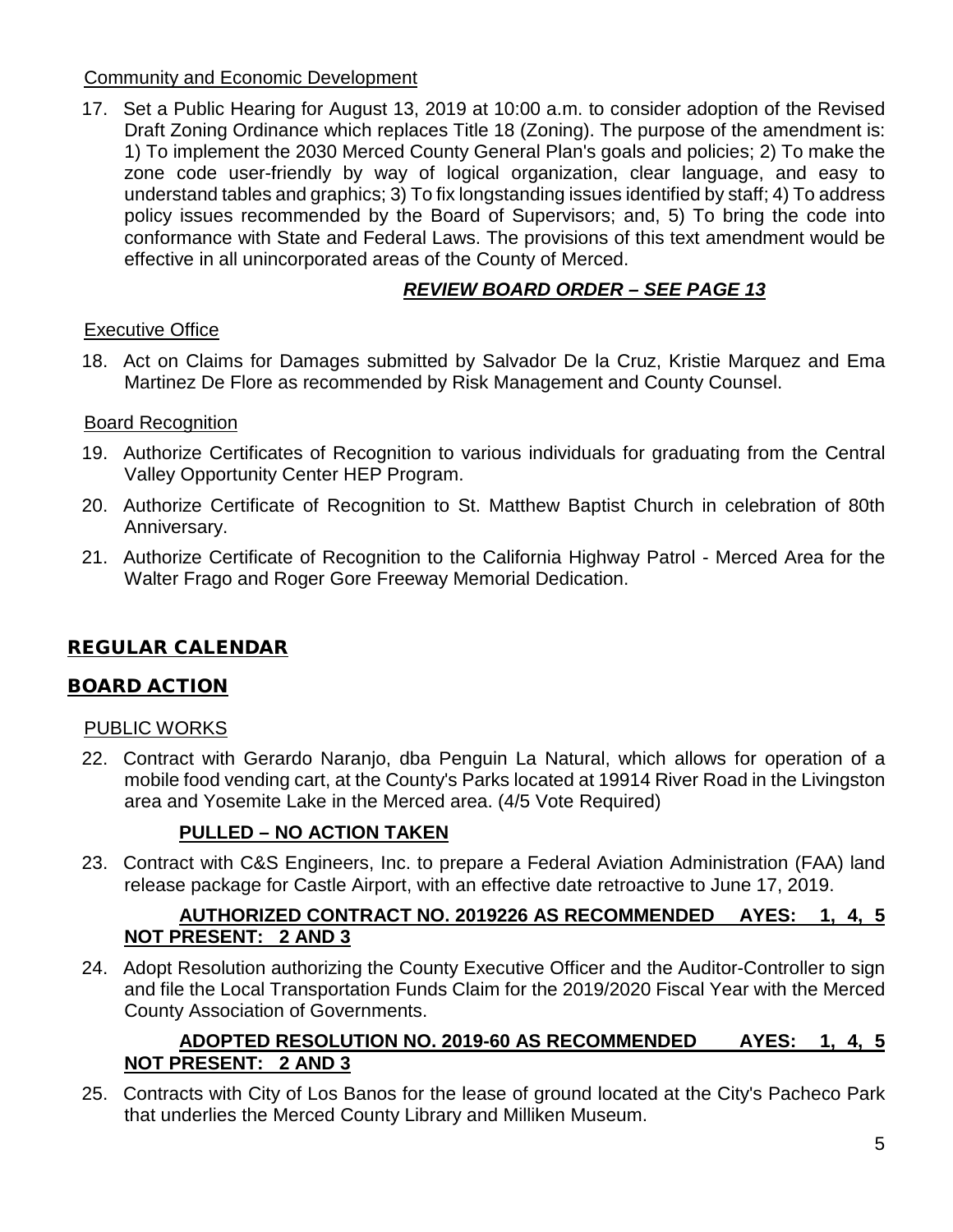### Community and Economic Development

17. Set a Public Hearing for August 13, 2019 at 10:00 a.m. to consider adoption of the Revised Draft Zoning Ordinance which replaces Title 18 (Zoning). The purpose of the amendment is: 1) To implement the 2030 Merced County General Plan's goals and policies; 2) To make the zone code user-friendly by way of logical organization, clear language, and easy to understand tables and graphics; 3) To fix longstanding issues identified by staff; 4) To address policy issues recommended by the Board of Supervisors; and, 5) To bring the code into conformance with State and Federal Laws. The provisions of this text amendment would be effective in all unincorporated areas of the County of Merced.

# *REVIEW BOARD ORDER – SEE PAGE 13*

# Executive Office

18. Act on Claims for Damages submitted by Salvador De la Cruz, Kristie Marquez and Ema Martinez De Flore as recommended by Risk Management and County Counsel.

### Board Recognition

- 19. Authorize Certificates of Recognition to various individuals for graduating from the Central Valley Opportunity Center HEP Program.
- 20. Authorize Certificate of Recognition to St. Matthew Baptist Church in celebration of 80th Anniversary.
- 21. Authorize Certificate of Recognition to the California Highway Patrol Merced Area for the Walter Frago and Roger Gore Freeway Memorial Dedication.

# REGULAR CALENDAR

### BOARD ACTION

### PUBLIC WORKS

22. Contract with Gerardo Naranjo, dba Penguin La Natural, which allows for operation of a mobile food vending cart, at the County's Parks located at 19914 River Road in the Livingston area and Yosemite Lake in the Merced area. (4/5 Vote Required)

# **PULLED – NO ACTION TAKEN**

23. Contract with C&S Engineers, Inc. to prepare a Federal Aviation Administration (FAA) land release package for Castle Airport, with an effective date retroactive to June 17, 2019.

### **AUTHORIZED CONTRACT NO. 2019226 AS RECOMMENDED AYES: 1, 4, 5 NOT PRESENT: 2 AND 3**

24. Adopt Resolution authorizing the County Executive Officer and the Auditor-Controller to sign and file the Local Transportation Funds Claim for the 2019/2020 Fiscal Year with the Merced County Association of Governments.

# **ADOPTED RESOLUTION NO. 2019-60 AS RECOMMENDED AYES: 1, 4, 5 NOT PRESENT: 2 AND 3**

25. Contracts with City of Los Banos for the lease of ground located at the City's Pacheco Park that underlies the Merced County Library and Milliken Museum.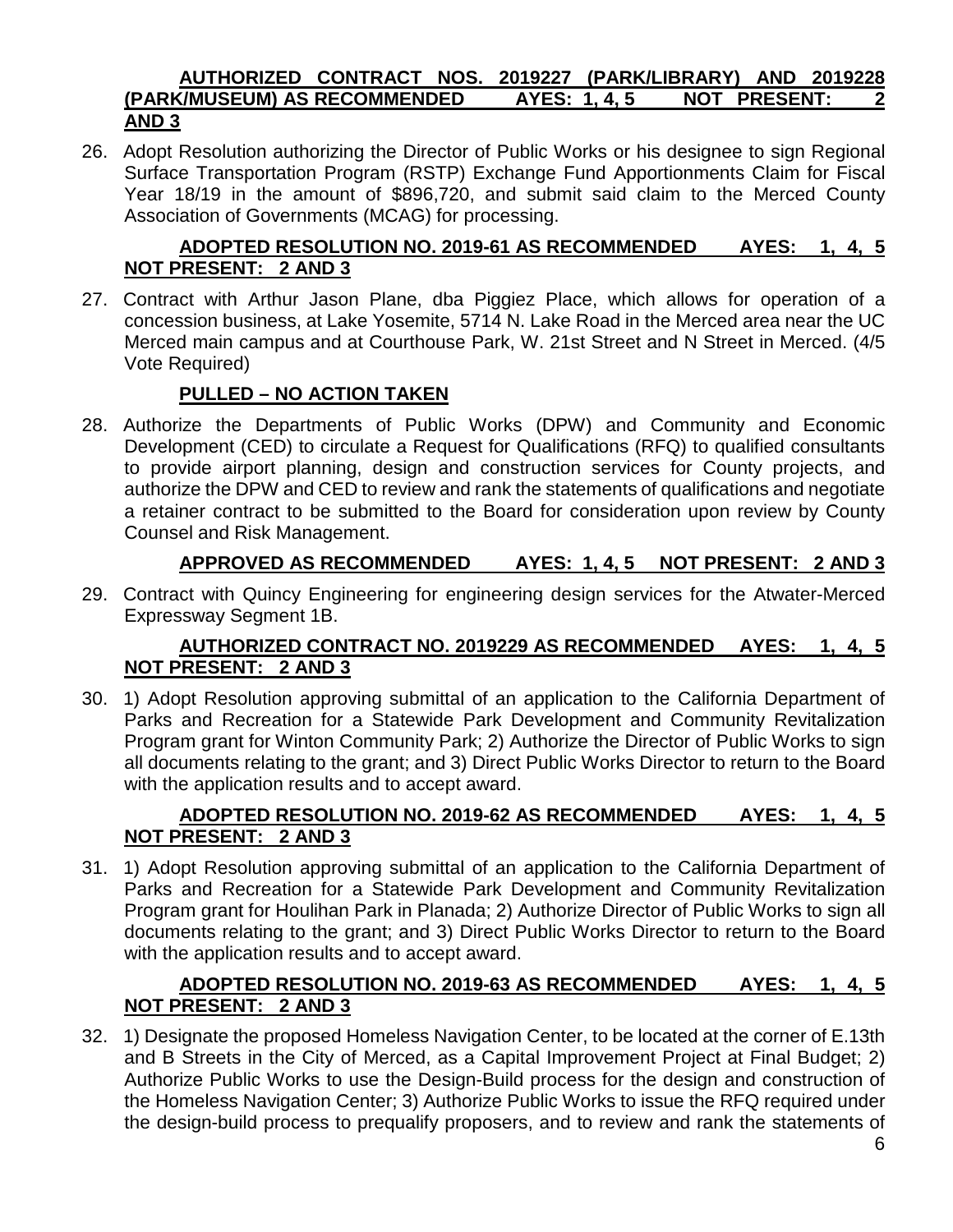#### **AUTHORIZED CONTRACT NOS. 2019227 (PARK/LIBRARY) AND 2019228 (PARK/MUSEUM) AS RECOMMENDED AYES: 1, 4, 5 NOT PRESENT: 2 AND 3**

26. Adopt Resolution authorizing the Director of Public Works or his designee to sign Regional Surface Transportation Program (RSTP) Exchange Fund Apportionments Claim for Fiscal Year 18/19 in the amount of \$896,720, and submit said claim to the Merced County Association of Governments (MCAG) for processing.

# **ADOPTED RESOLUTION NO. 2019-61 AS RECOMMENDED AYES: 1, 4, 5 NOT PRESENT: 2 AND 3**

27. Contract with Arthur Jason Plane, dba Piggiez Place, which allows for operation of a concession business, at Lake Yosemite, 5714 N. Lake Road in the Merced area near the UC Merced main campus and at Courthouse Park, W. 21st Street and N Street in Merced. (4/5 Vote Required)

# **PULLED – NO ACTION TAKEN**

28. Authorize the Departments of Public Works (DPW) and Community and Economic Development (CED) to circulate a Request for Qualifications (RFQ) to qualified consultants to provide airport planning, design and construction services for County projects, and authorize the DPW and CED to review and rank the statements of qualifications and negotiate a retainer contract to be submitted to the Board for consideration upon review by County Counsel and Risk Management.

# **APPROVED AS RECOMMENDED AYES: 1, 4, 5 NOT PRESENT: 2 AND 3**

29. Contract with Quincy Engineering for engineering design services for the Atwater-Merced Expressway Segment 1B.

### **AUTHORIZED CONTRACT NO. 2019229 AS RECOMMENDED AYES: 1, 4, 5 NOT PRESENT: 2 AND 3**

30. 1) Adopt Resolution approving submittal of an application to the California Department of Parks and Recreation for a Statewide Park Development and Community Revitalization Program grant for Winton Community Park; 2) Authorize the Director of Public Works to sign all documents relating to the grant; and 3) Direct Public Works Director to return to the Board with the application results and to accept award.

# **ADOPTED RESOLUTION NO. 2019-62 AS RECOMMENDED AYES: 1, 4, 5 NOT PRESENT: 2 AND 3**

31. 1) Adopt Resolution approving submittal of an application to the California Department of Parks and Recreation for a Statewide Park Development and Community Revitalization Program grant for Houlihan Park in Planada; 2) Authorize Director of Public Works to sign all documents relating to the grant; and 3) Direct Public Works Director to return to the Board with the application results and to accept award.

# **ADOPTED RESOLUTION NO. 2019-63 AS RECOMMENDED AYES: 1, 4, 5 NOT PRESENT: 2 AND 3**

32. 1) Designate the proposed Homeless Navigation Center, to be located at the corner of E.13th and B Streets in the City of Merced, as a Capital Improvement Project at Final Budget; 2) Authorize Public Works to use the Design-Build process for the design and construction of the Homeless Navigation Center; 3) Authorize Public Works to issue the RFQ required under the design-build process to prequalify proposers, and to review and rank the statements of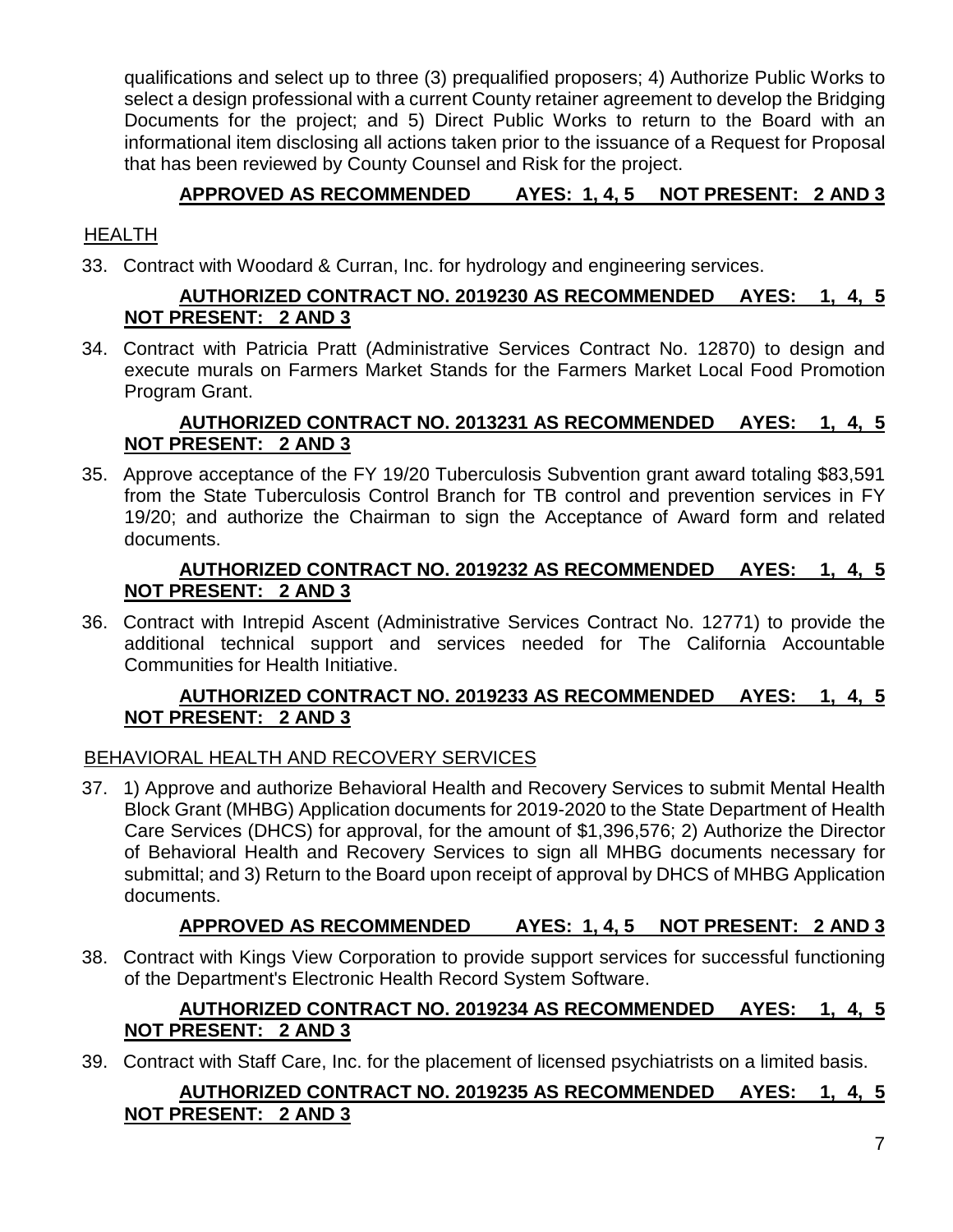qualifications and select up to three (3) prequalified proposers; 4) Authorize Public Works to select a design professional with a current County retainer agreement to develop the Bridging Documents for the project; and 5) Direct Public Works to return to the Board with an informational item disclosing all actions taken prior to the issuance of a Request for Proposal that has been reviewed by County Counsel and Risk for the project.

# **APPROVED AS RECOMMENDED AYES: 1, 4, 5 NOT PRESENT: 2 AND 3**

# **HEALTH**

33. Contract with Woodard & Curran, Inc. for hydrology and engineering services.

#### **AUTHORIZED CONTRACT NO. 2019230 AS RECOMMENDED AYES: 1, 4, 5 NOT PRESENT: 2 AND 3**

34. Contract with Patricia Pratt (Administrative Services Contract No. 12870) to design and execute murals on Farmers Market Stands for the Farmers Market Local Food Promotion Program Grant.

#### **AUTHORIZED CONTRACT NO. 2013231 AS RECOMMENDED AYES: 1, 4, 5 NOT PRESENT: 2 AND 3**

35. Approve acceptance of the FY 19/20 Tuberculosis Subvention grant award totaling \$83,591 from the State Tuberculosis Control Branch for TB control and prevention services in FY 19/20; and authorize the Chairman to sign the Acceptance of Award form and related documents.

#### **AUTHORIZED CONTRACT NO. 2019232 AS RECOMMENDED AYES: 1, 4, 5 NOT PRESENT: 2 AND 3**

36. Contract with Intrepid Ascent (Administrative Services Contract No. 12771) to provide the additional technical support and services needed for The California Accountable Communities for Health Initiative.

#### **AUTHORIZED CONTRACT NO. 2019233 AS RECOMMENDED AYES: 1, 4, 5 NOT PRESENT: 2 AND 3**

### BEHAVIORAL HEALTH AND RECOVERY SERVICES

37. 1) Approve and authorize Behavioral Health and Recovery Services to submit Mental Health Block Grant (MHBG) Application documents for 2019-2020 to the State Department of Health Care Services (DHCS) for approval, for the amount of \$1,396,576; 2) Authorize the Director of Behavioral Health and Recovery Services to sign all MHBG documents necessary for submittal; and 3) Return to the Board upon receipt of approval by DHCS of MHBG Application documents.

### **APPROVED AS RECOMMENDED AYES: 1, 4, 5 NOT PRESENT: 2 AND 3**

38. Contract with Kings View Corporation to provide support services for successful functioning of the Department's Electronic Health Record System Software.

### **AUTHORIZED CONTRACT NO. 2019234 AS RECOMMENDED AYES: 1, 4, 5 NOT PRESENT: 2 AND 3**

39. Contract with Staff Care, Inc. for the placement of licensed psychiatrists on a limited basis.

#### **AUTHORIZED CONTRACT NO. 2019235 AS RECOMMENDED AYES: 1, 4, 5 NOT PRESENT: 2 AND 3**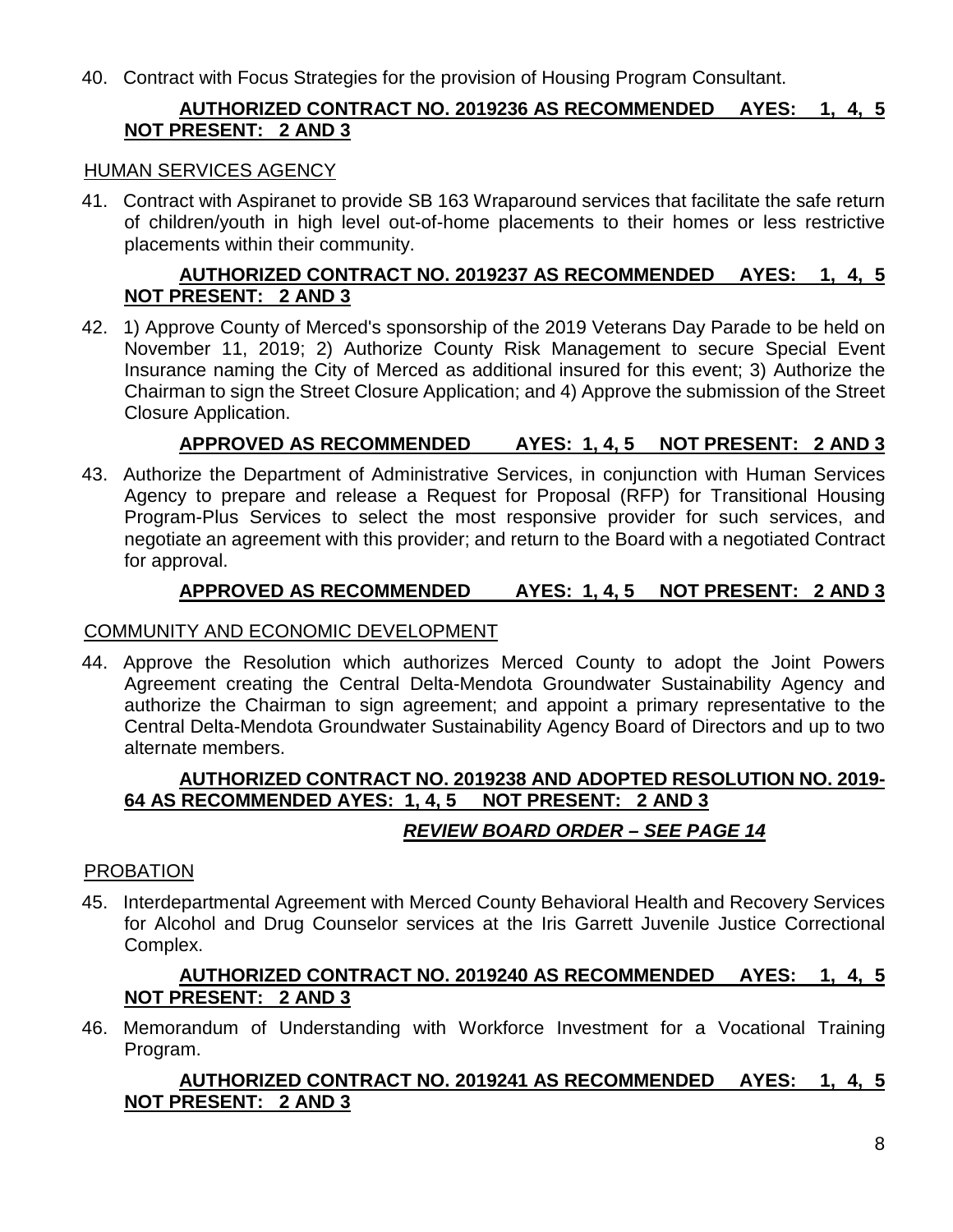40. Contract with Focus Strategies for the provision of Housing Program Consultant.

# **AUTHORIZED CONTRACT NO. 2019236 AS RECOMMENDED AYES: 1, 4, 5 NOT PRESENT: 2 AND 3**

#### HUMAN SERVICES AGENCY

41. Contract with Aspiranet to provide SB 163 Wraparound services that facilitate the safe return of children/youth in high level out-of-home placements to their homes or less restrictive placements within their community.

### **AUTHORIZED CONTRACT NO. 2019237 AS RECOMMENDED AYES: 1, 4, 5 NOT PRESENT: 2 AND 3**

42. 1) Approve County of Merced's sponsorship of the 2019 Veterans Day Parade to be held on November 11, 2019; 2) Authorize County Risk Management to secure Special Event Insurance naming the City of Merced as additional insured for this event; 3) Authorize the Chairman to sign the Street Closure Application; and 4) Approve the submission of the Street Closure Application.

# **APPROVED AS RECOMMENDED AYES: 1, 4, 5 NOT PRESENT: 2 AND 3**

43. Authorize the Department of Administrative Services, in conjunction with Human Services Agency to prepare and release a Request for Proposal (RFP) for Transitional Housing Program-Plus Services to select the most responsive provider for such services, and negotiate an agreement with this provider; and return to the Board with a negotiated Contract for approval.

# **APPROVED AS RECOMMENDED AYES: 1, 4, 5 NOT PRESENT: 2 AND 3**

### COMMUNITY AND ECONOMIC DEVELOPMENT

44. Approve the Resolution which authorizes Merced County to adopt the Joint Powers Agreement creating the Central Delta-Mendota Groundwater Sustainability Agency and authorize the Chairman to sign agreement; and appoint a primary representative to the Central Delta-Mendota Groundwater Sustainability Agency Board of Directors and up to two alternate members.

### **AUTHORIZED CONTRACT NO. 2019238 AND ADOPTED RESOLUTION NO. 2019- 64 AS RECOMMENDED AYES: 1, 4, 5 NOT PRESENT: 2 AND 3**

# *REVIEW BOARD ORDER – SEE PAGE 14*

#### PROBATION

45. Interdepartmental Agreement with Merced County Behavioral Health and Recovery Services for Alcohol and Drug Counselor services at the Iris Garrett Juvenile Justice Correctional Complex.

#### **AUTHORIZED CONTRACT NO. 2019240 AS RECOMMENDED AYES: 1, 4, 5 NOT PRESENT: 2 AND 3**

46. Memorandum of Understanding with Workforce Investment for a Vocational Training Program.

#### **AUTHORIZED CONTRACT NO. 2019241 AS RECOMMENDED AYES: 1, 4, 5 NOT PRESENT: 2 AND 3**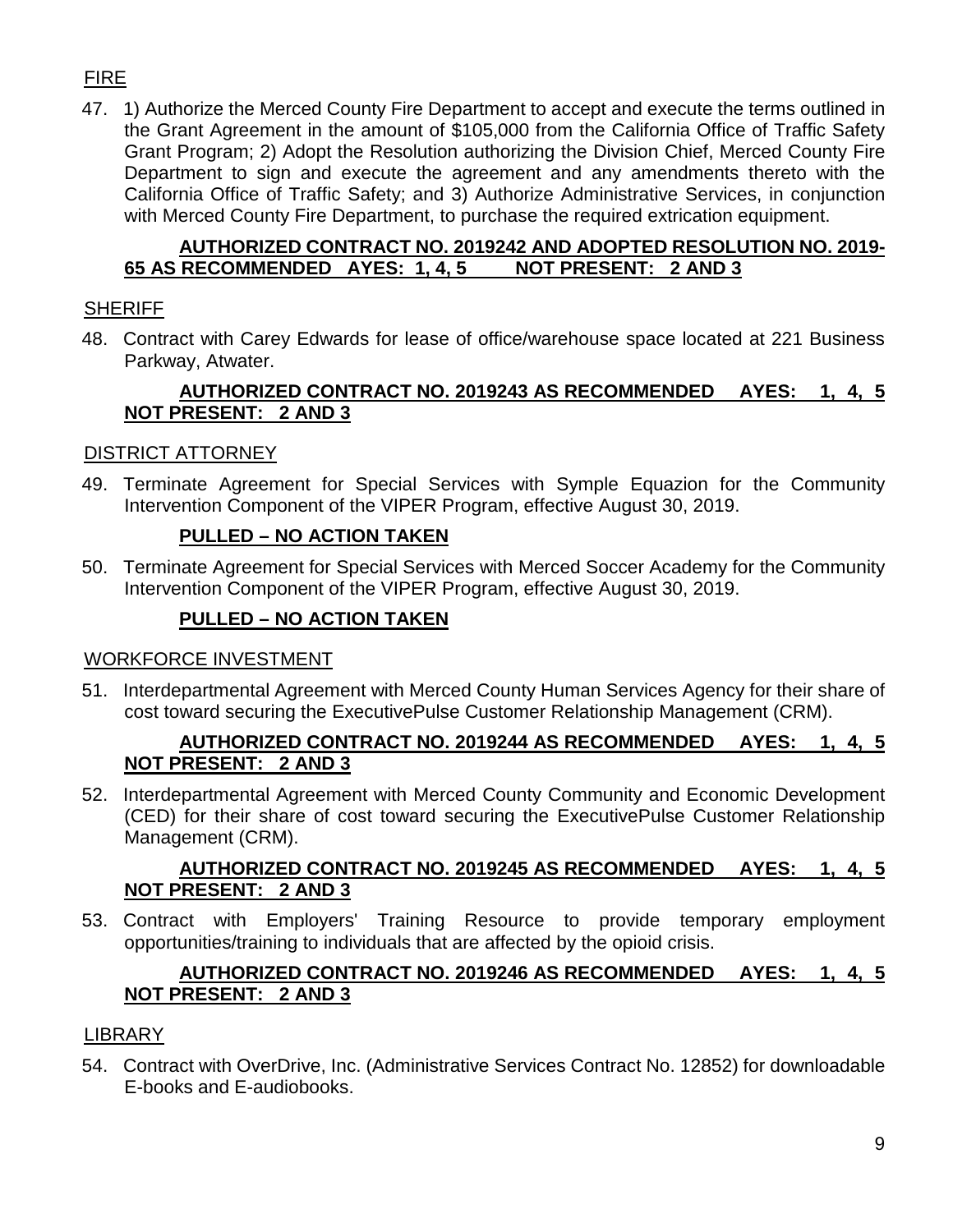# FIRE

47. 1) Authorize the Merced County Fire Department to accept and execute the terms outlined in the Grant Agreement in the amount of \$105,000 from the California Office of Traffic Safety Grant Program; 2) Adopt the Resolution authorizing the Division Chief, Merced County Fire Department to sign and execute the agreement and any amendments thereto with the California Office of Traffic Safety; and 3) Authorize Administrative Services, in conjunction with Merced County Fire Department, to purchase the required extrication equipment.

### **AUTHORIZED CONTRACT NO. 2019242 AND ADOPTED RESOLUTION NO. 2019- 65 AS RECOMMENDED AYES: 1, 4, 5 NOT PRESENT: 2 AND 3**

# SHERIFF

48. Contract with Carey Edwards for lease of office/warehouse space located at 221 Business Parkway, Atwater.

## **AUTHORIZED CONTRACT NO. 2019243 AS RECOMMENDED AYES: 1, 4, 5 NOT PRESENT: 2 AND 3**

# DISTRICT ATTORNEY

49. Terminate Agreement for Special Services with Symple Equazion for the Community Intervention Component of the VIPER Program, effective August 30, 2019.

# **PULLED – NO ACTION TAKEN**

50. Terminate Agreement for Special Services with Merced Soccer Academy for the Community Intervention Component of the VIPER Program, effective August 30, 2019.

# **PULLED – NO ACTION TAKEN**

### WORKFORCE INVESTMENT

51. Interdepartmental Agreement with Merced County Human Services Agency for their share of cost toward securing the ExecutivePulse Customer Relationship Management (CRM).

### **AUTHORIZED CONTRACT NO. 2019244 AS RECOMMENDED AYES: 1, 4, 5 NOT PRESENT: 2 AND 3**

52. Interdepartmental Agreement with Merced County Community and Economic Development (CED) for their share of cost toward securing the ExecutivePulse Customer Relationship Management (CRM).

#### **AUTHORIZED CONTRACT NO. 2019245 AS RECOMMENDED AYES: 1, 4, 5 NOT PRESENT: 2 AND 3**

53. Contract with Employers' Training Resource to provide temporary employment opportunities/training to individuals that are affected by the opioid crisis.

### **AUTHORIZED CONTRACT NO. 2019246 AS RECOMMENDED AYES: 1, 4, 5 NOT PRESENT: 2 AND 3**

### LIBRARY

54. Contract with OverDrive, Inc. (Administrative Services Contract No. 12852) for downloadable E-books and E-audiobooks.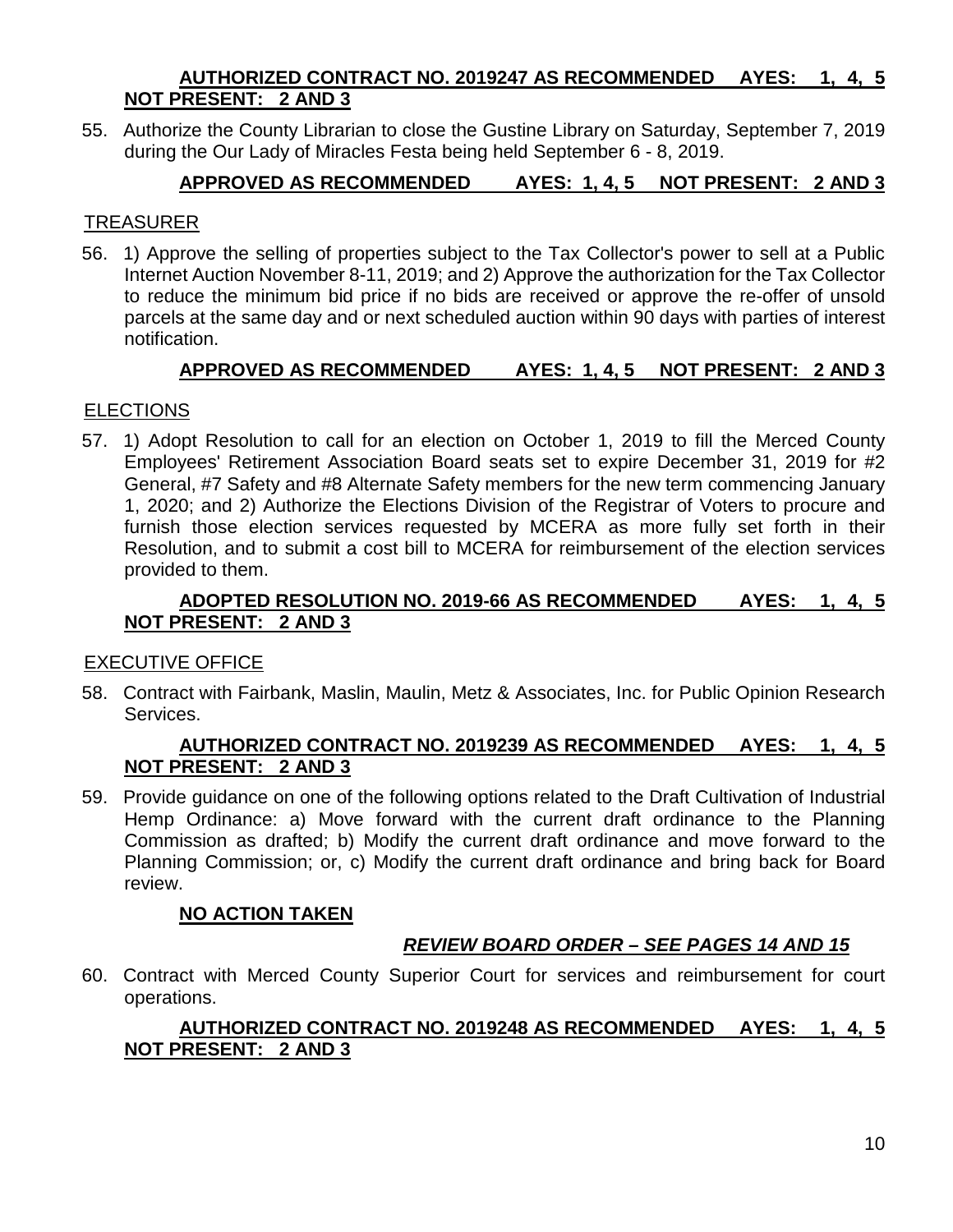#### **AUTHORIZED CONTRACT NO. 2019247 AS RECOMMENDED AYES: 1, 4, 5 NOT PRESENT: 2 AND 3**

55. Authorize the County Librarian to close the Gustine Library on Saturday, September 7, 2019 during the Our Lady of Miracles Festa being held September 6 - 8, 2019.

# **APPROVED AS RECOMMENDED AYES: 1, 4, 5 NOT PRESENT: 2 AND 3**

### TREASURER

56. 1) Approve the selling of properties subject to the Tax Collector's power to sell at a Public Internet Auction November 8-11, 2019; and 2) Approve the authorization for the Tax Collector to reduce the minimum bid price if no bids are received or approve the re-offer of unsold parcels at the same day and or next scheduled auction within 90 days with parties of interest notification.

### **APPROVED AS RECOMMENDED AYES: 1, 4, 5 NOT PRESENT: 2 AND 3**

### **ELECTIONS**

57. 1) Adopt Resolution to call for an election on October 1, 2019 to fill the Merced County Employees' Retirement Association Board seats set to expire December 31, 2019 for #2 General, #7 Safety and #8 Alternate Safety members for the new term commencing January 1, 2020; and 2) Authorize the Elections Division of the Registrar of Voters to procure and furnish those election services requested by MCERA as more fully set forth in their Resolution, and to submit a cost bill to MCERA for reimbursement of the election services provided to them.

#### **ADOPTED RESOLUTION NO. 2019-66 AS RECOMMENDED AYES: 1, 4, 5 NOT PRESENT: 2 AND 3**

#### EXECUTIVE OFFICE

58. Contract with Fairbank, Maslin, Maulin, Metz & Associates, Inc. for Public Opinion Research Services.

#### **AUTHORIZED CONTRACT NO. 2019239 AS RECOMMENDED AYES: 1, 4, 5 NOT PRESENT: 2 AND 3**

59. Provide guidance on one of the following options related to the Draft Cultivation of Industrial Hemp Ordinance: a) Move forward with the current draft ordinance to the Planning Commission as drafted; b) Modify the current draft ordinance and move forward to the Planning Commission; or, c) Modify the current draft ordinance and bring back for Board review.

### **NO ACTION TAKEN**

### *REVIEW BOARD ORDER – SEE PAGES 14 AND 15*

60. Contract with Merced County Superior Court for services and reimbursement for court operations.

#### **AUTHORIZED CONTRACT NO. 2019248 AS RECOMMENDED AYES: 1, 4, 5 NOT PRESENT: 2 AND 3**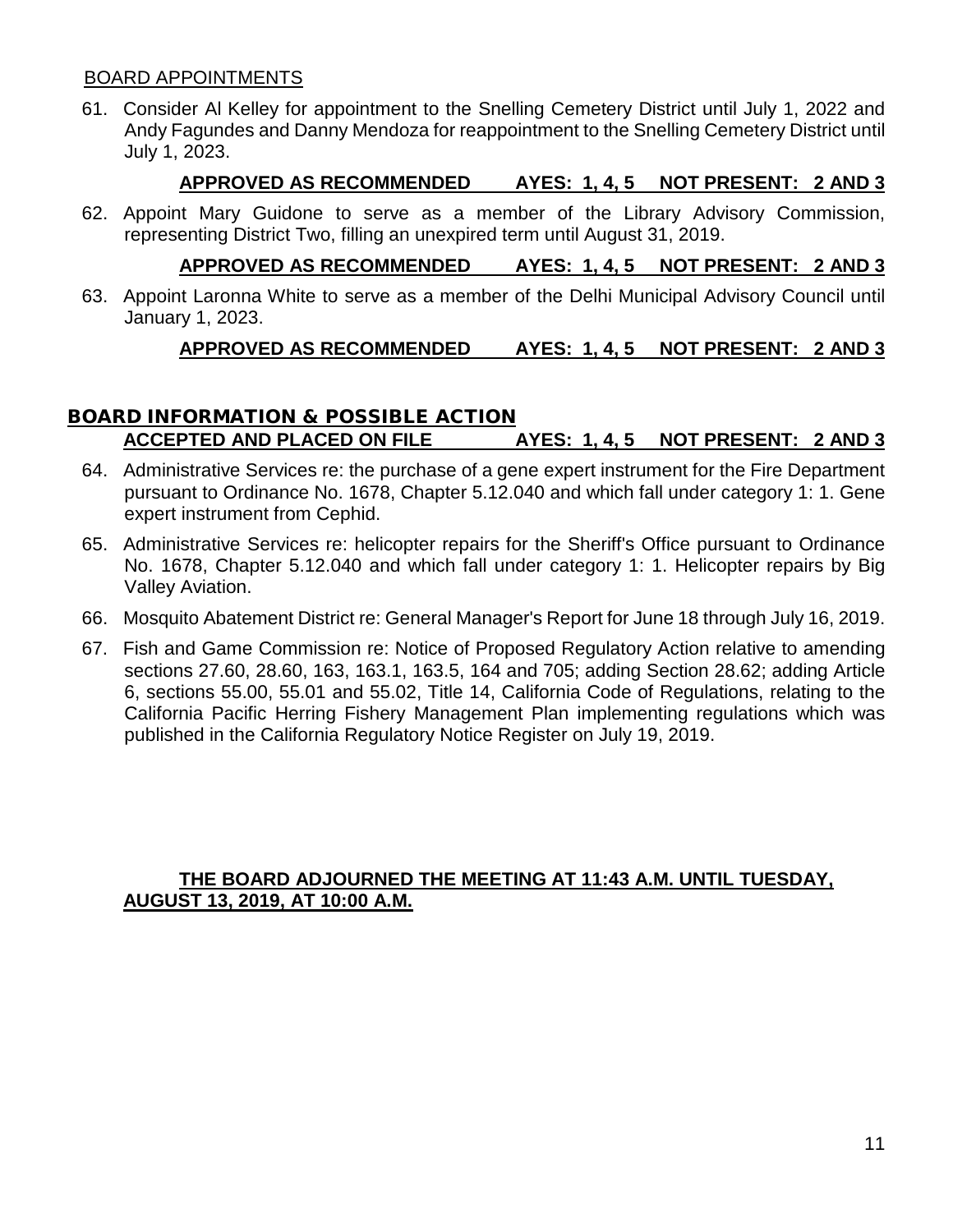#### BOARD APPOINTMENTS

61. Consider Al Kelley for appointment to the Snelling Cemetery District until July 1, 2022 and Andy Fagundes and Danny Mendoza for reappointment to the Snelling Cemetery District until July 1, 2023.

## **APPROVED AS RECOMMENDED AYES: 1, 4, 5 NOT PRESENT: 2 AND 3**

62. Appoint Mary Guidone to serve as a member of the Library Advisory Commission, representing District Two, filling an unexpired term until August 31, 2019.

# **APPROVED AS RECOMMENDED AYES: 1, 4, 5 NOT PRESENT: 2 AND 3**

63. Appoint Laronna White to serve as a member of the Delhi Municipal Advisory Council until January 1, 2023.

# **APPROVED AS RECOMMENDED AYES: 1, 4, 5 NOT PRESENT: 2 AND 3**

# BOARD INFORMATION & POSSIBLE ACTION **ACCEPTED AND PLACED ON FILE AYES: 1, 4, 5 NOT PRESENT: 2 AND 3**

- 64. Administrative Services re: the purchase of a gene expert instrument for the Fire Department pursuant to Ordinance No. 1678, Chapter 5.12.040 and which fall under category 1: 1. Gene expert instrument from Cephid.
- 65. Administrative Services re: helicopter repairs for the Sheriff's Office pursuant to Ordinance No. 1678, Chapter 5.12.040 and which fall under category 1: 1. Helicopter repairs by Big Valley Aviation.
- 66. Mosquito Abatement District re: General Manager's Report for June 18 through July 16, 2019.
- 67. Fish and Game Commission re: Notice of Proposed Regulatory Action relative to amending sections 27.60, 28.60, 163, 163.1, 163.5, 164 and 705; adding Section 28.62; adding Article 6, sections 55.00, 55.01 and 55.02, Title 14, California Code of Regulations, relating to the California Pacific Herring Fishery Management Plan implementing regulations which was published in the California Regulatory Notice Register on July 19, 2019.

#### **THE BOARD ADJOURNED THE MEETING AT 11:43 A.M. UNTIL TUESDAY, AUGUST 13, 2019, AT 10:00 A.M.**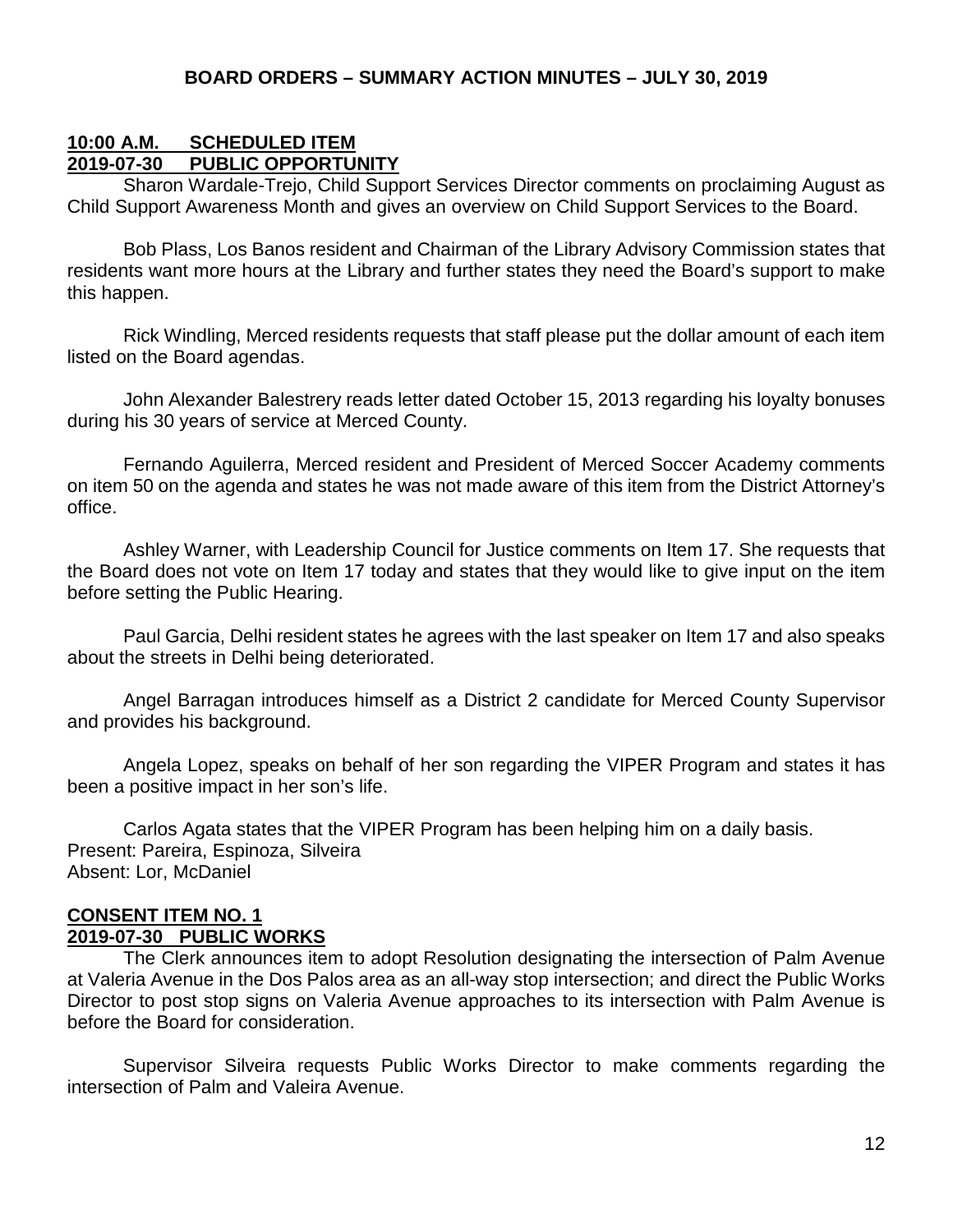#### **10:00 A.M. SCHEDULED ITEM 2019-07-30 PUBLIC OPPORTUNITY**

Sharon Wardale-Trejo, Child Support Services Director comments on proclaiming August as Child Support Awareness Month and gives an overview on Child Support Services to the Board.

Bob Plass, Los Banos resident and Chairman of the Library Advisory Commission states that residents want more hours at the Library and further states they need the Board's support to make this happen.

Rick Windling, Merced residents requests that staff please put the dollar amount of each item listed on the Board agendas.

John Alexander Balestrery reads letter dated October 15, 2013 regarding his loyalty bonuses during his 30 years of service at Merced County.

Fernando Aguilerra, Merced resident and President of Merced Soccer Academy comments on item 50 on the agenda and states he was not made aware of this item from the District Attorney's office.

Ashley Warner, with Leadership Council for Justice comments on Item 17. She requests that the Board does not vote on Item 17 today and states that they would like to give input on the item before setting the Public Hearing.

Paul Garcia, Delhi resident states he agrees with the last speaker on Item 17 and also speaks about the streets in Delhi being deteriorated.

Angel Barragan introduces himself as a District 2 candidate for Merced County Supervisor and provides his background.

Angela Lopez, speaks on behalf of her son regarding the VIPER Program and states it has been a positive impact in her son's life.

Carlos Agata states that the VIPER Program has been helping him on a daily basis. Present: Pareira, Espinoza, Silveira Absent: Lor, McDaniel

#### **CONSENT ITEM NO. 1 2019-07-30 PUBLIC WORKS**

The Clerk announces item to adopt Resolution designating the intersection of Palm Avenue at Valeria Avenue in the Dos Palos area as an all-way stop intersection; and direct the Public Works Director to post stop signs on Valeria Avenue approaches to its intersection with Palm Avenue is before the Board for consideration.

Supervisor Silveira requests Public Works Director to make comments regarding the intersection of Palm and Valeira Avenue.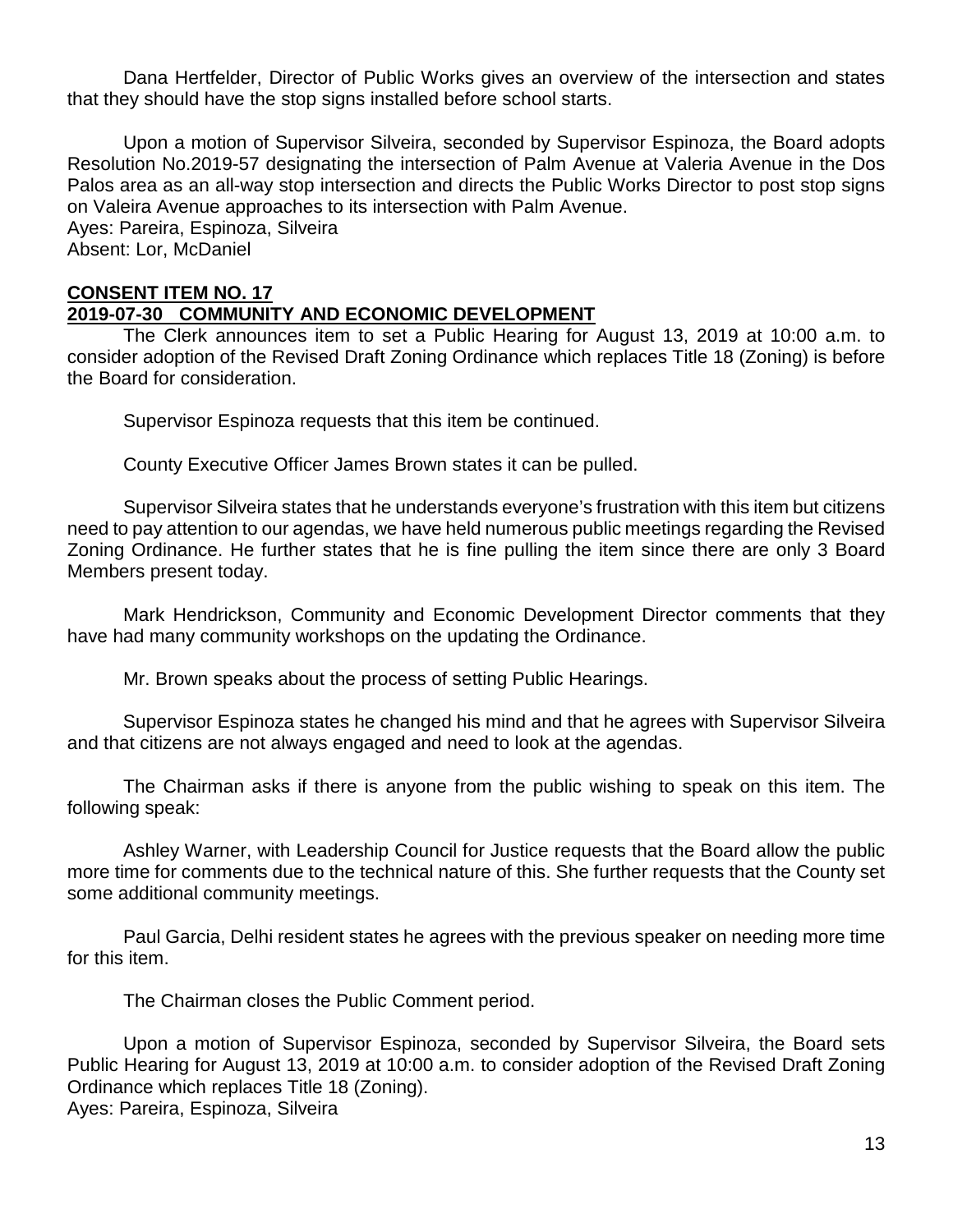Dana Hertfelder, Director of Public Works gives an overview of the intersection and states that they should have the stop signs installed before school starts.

Upon a motion of Supervisor Silveira, seconded by Supervisor Espinoza, the Board adopts Resolution No.2019-57 designating the intersection of Palm Avenue at Valeria Avenue in the Dos Palos area as an all-way stop intersection and directs the Public Works Director to post stop signs on Valeira Avenue approaches to its intersection with Palm Avenue.

Ayes: Pareira, Espinoza, Silveira Absent: Lor, McDaniel

#### **CONSENT ITEM NO. 17 2019-07-30 COMMUNITY AND ECONOMIC DEVELOPMENT**

The Clerk announces item to set a Public Hearing for August 13, 2019 at 10:00 a.m. to consider adoption of the Revised Draft Zoning Ordinance which replaces Title 18 (Zoning) is before the Board for consideration.

Supervisor Espinoza requests that this item be continued.

County Executive Officer James Brown states it can be pulled.

Supervisor Silveira states that he understands everyone's frustration with this item but citizens need to pay attention to our agendas, we have held numerous public meetings regarding the Revised Zoning Ordinance. He further states that he is fine pulling the item since there are only 3 Board Members present today.

Mark Hendrickson, Community and Economic Development Director comments that they have had many community workshops on the updating the Ordinance.

Mr. Brown speaks about the process of setting Public Hearings.

Supervisor Espinoza states he changed his mind and that he agrees with Supervisor Silveira and that citizens are not always engaged and need to look at the agendas.

The Chairman asks if there is anyone from the public wishing to speak on this item. The following speak:

Ashley Warner, with Leadership Council for Justice requests that the Board allow the public more time for comments due to the technical nature of this. She further requests that the County set some additional community meetings.

Paul Garcia, Delhi resident states he agrees with the previous speaker on needing more time for this item.

The Chairman closes the Public Comment period.

Upon a motion of Supervisor Espinoza, seconded by Supervisor Silveira, the Board sets Public Hearing for August 13, 2019 at 10:00 a.m. to consider adoption of the Revised Draft Zoning Ordinance which replaces Title 18 (Zoning). Ayes: Pareira, Espinoza, Silveira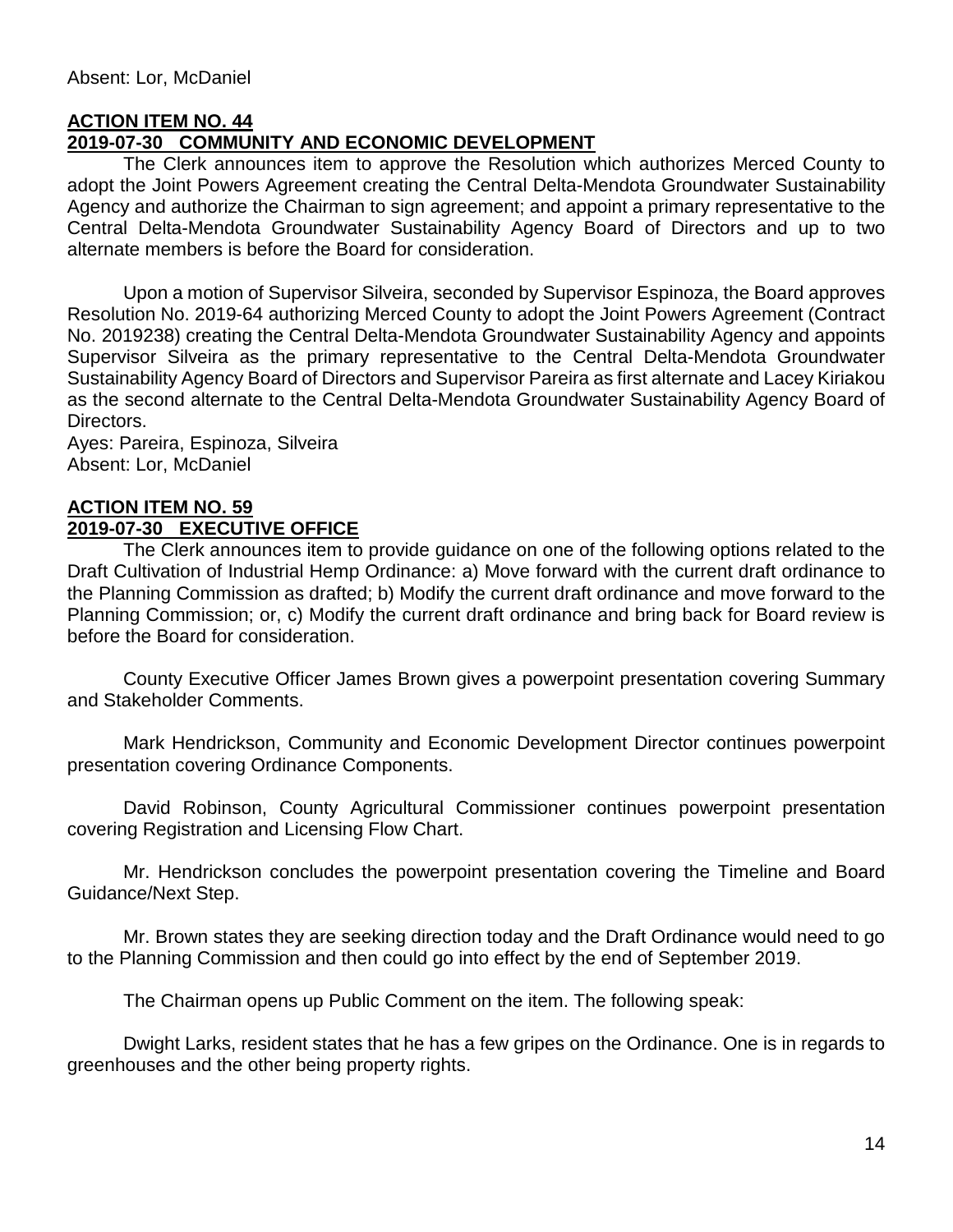# **ACTION ITEM NO. 44**

### **2019-07-30 COMMUNITY AND ECONOMIC DEVELOPMENT**

The Clerk announces item to approve the Resolution which authorizes Merced County to adopt the Joint Powers Agreement creating the Central Delta-Mendota Groundwater Sustainability Agency and authorize the Chairman to sign agreement; and appoint a primary representative to the Central Delta-Mendota Groundwater Sustainability Agency Board of Directors and up to two alternate members is before the Board for consideration.

Upon a motion of Supervisor Silveira, seconded by Supervisor Espinoza, the Board approves Resolution No. 2019-64 authorizing Merced County to adopt the Joint Powers Agreement (Contract No. 2019238) creating the Central Delta-Mendota Groundwater Sustainability Agency and appoints Supervisor Silveira as the primary representative to the Central Delta-Mendota Groundwater Sustainability Agency Board of Directors and Supervisor Pareira as first alternate and Lacey Kiriakou as the second alternate to the Central Delta-Mendota Groundwater Sustainability Agency Board of Directors.

Ayes: Pareira, Espinoza, Silveira Absent: Lor, McDaniel

#### **ACTION ITEM NO. 59 2019-07-30 EXECUTIVE OFFICE**

The Clerk announces item to provide guidance on one of the following options related to the Draft Cultivation of Industrial Hemp Ordinance: a) Move forward with the current draft ordinance to the Planning Commission as drafted; b) Modify the current draft ordinance and move forward to the Planning Commission; or, c) Modify the current draft ordinance and bring back for Board review is before the Board for consideration.

County Executive Officer James Brown gives a powerpoint presentation covering Summary and Stakeholder Comments.

Mark Hendrickson, Community and Economic Development Director continues powerpoint presentation covering Ordinance Components.

David Robinson, County Agricultural Commissioner continues powerpoint presentation covering Registration and Licensing Flow Chart.

Mr. Hendrickson concludes the powerpoint presentation covering the Timeline and Board Guidance/Next Step.

Mr. Brown states they are seeking direction today and the Draft Ordinance would need to go to the Planning Commission and then could go into effect by the end of September 2019.

The Chairman opens up Public Comment on the item. The following speak:

Dwight Larks, resident states that he has a few gripes on the Ordinance. One is in regards to greenhouses and the other being property rights.